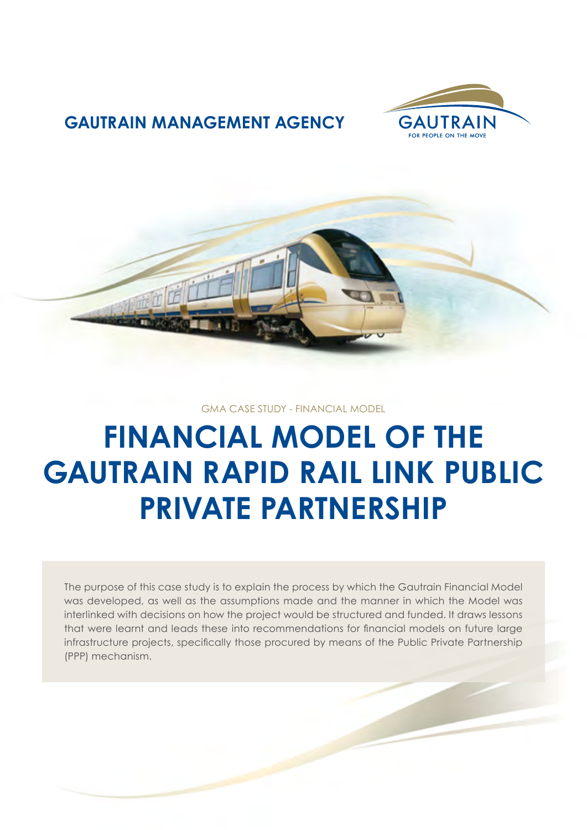

### **GAUTRAIN MANAGEMENT AGENCY**



#### GMA CASE STUDY - FINANCIAL MODEL

# **FINANCIAL MODEL OF THE GAUTRAIN RAPID RAIL LINK PUBLIC PRIVATE PARTNERSHIP**

The purpose of this case study is to explain the process by which the Gautrain Financial Model was developed, as well as the assumptions made and the manner in which the Model was interlinked with decisions on how the project would be structured and funded. It draws lessons that were learnt and leads these into recommendations for financial models on future large infrastructure projects, specifically those procured by means of the Public Private Partnership (PPP) mechanism.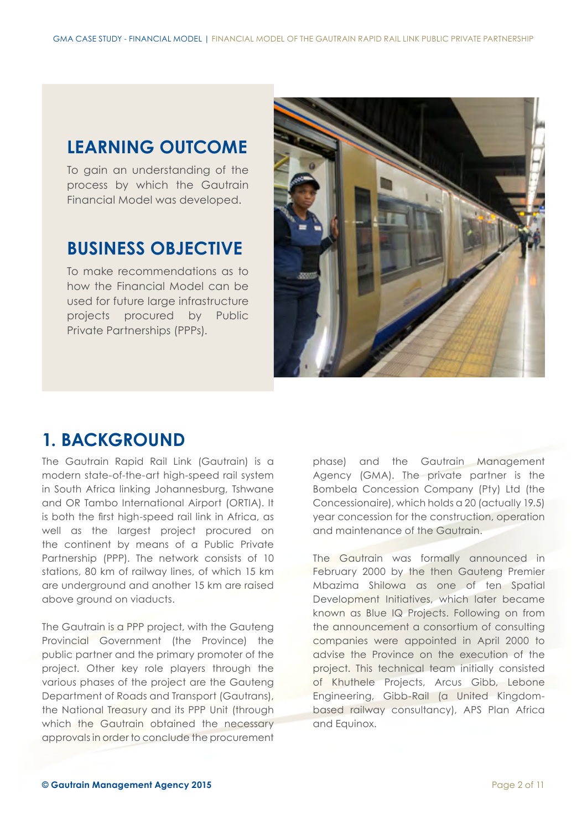### **LEARNING OUTCOME**

To gain an understanding of the process by which the Gautrain Financial Model was developed.

#### **BUSINESS OBJECTIVE**

To make recommendations as to how the Financial Model can be used for future large infrastructure projects procured by Public Private Partnerships (PPPs).



# **1. BACKGROUND**

The Gautrain Rapid Rail Link (Gautrain) is a modern state-of-the-art high-speed rail system in South Africa linking Johannesburg, Tshwane and OR Tambo International Airport (ORTIA). It is both the first high-speed rail link in Africa, as well as the largest project procured on the continent by means of a Public Private Partnership (PPP). The network consists of 10 stations, 80 km of railway lines, of which 15 km are underground and another 15 km are raised above ground on viaducts.

The Gautrain is a PPP project, with the Gauteng Provincial Government (the Province) the public partner and the primary promoter of the project. Other key role players through the various phases of the project are the Gauteng Department of Roads and Transport (Gautrans), the National Treasury and its PPP Unit (through which the Gautrain obtained the necessary approvals in order to conclude the procurement

phase) and the Gautrain Management Agency (GMA). The private partner is the Bombela Concession Company (Pty) Ltd (the Concessionaire), which holds a 20 (actually 19.5) year concession for the construction, operation and maintenance of the Gautrain.

The Gautrain was formally announced in February 2000 by the then Gauteng Premier Mbazima Shilowa as one of ten Spatial Development Initiatives, which later became known as Blue IQ Projects. Following on from the announcement a consortium of consulting companies were appointed in April 2000 to advise the Province on the execution of the project. This technical team initially consisted of Khuthele Projects, Arcus Gibb, Lebone Engineering, Gibb-Rail (a United Kingdombased railway consultancy), APS Plan Africa and Equinox.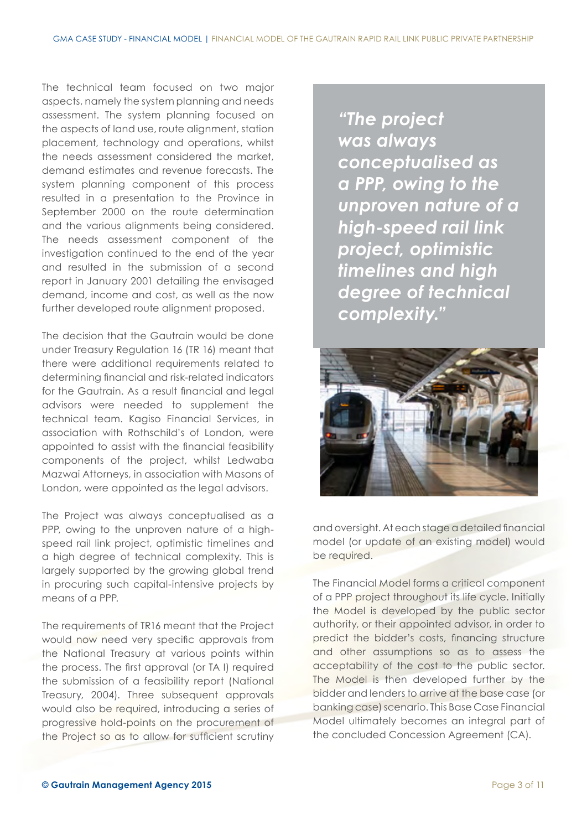The technical team focused on two major aspects, namely the system planning and needs assessment. The system planning focused on the aspects of land use, route alignment, station placement, technology and operations, whilst the needs assessment considered the market, demand estimates and revenue forecasts. The system planning component of this process resulted in a presentation to the Province in September 2000 on the route determination and the various alignments being considered. The needs assessment component of the investigation continued to the end of the year and resulted in the submission of a second report in January 2001 detailing the envisaged demand, income and cost, as well as the now further developed route alignment proposed.

The decision that the Gautrain would be done under Treasury Regulation 16 (TR 16) meant that there were additional requirements related to determining financial and risk-related indicators for the Gautrain. As a result financial and legal advisors were needed to supplement the technical team. Kagiso Financial Services, in association with Rothschild's of London, were appointed to assist with the financial feasibility components of the project, whilst Ledwaba Mazwai Attorneys, in association with Masons of London, were appointed as the legal advisors.

The Project was always conceptualised as a PPP, owing to the unproven nature of a highspeed rail link project, optimistic timelines and a high degree of technical complexity. This is largely supported by the growing global trend in procuring such capital-intensive projects by means of a PPP.

The requirements of TR16 meant that the Project would now need very specific approvals from the National Treasury at various points within the process. The first approval (or TA I) required the submission of a feasibility report (National Treasury, 2004). Three subsequent approvals would also be required, introducing a series of progressive hold-points on the procurement of the Project so as to allow for sufficient scrutiny

*"The project was always conceptualised as a PPP, owing to the unproven nature of a high-speed rail link project, optimistic timelines and high degree of technical complexity."*



and oversight. At each stage a detailed financial model (or update of an existing model) would be required.

The Financial Model forms a critical component of a PPP project throughout its life cycle. Initially the Model is developed by the public sector authority, or their appointed advisor, in order to predict the bidder's costs, financing structure and other assumptions so as to assess the acceptability of the cost to the public sector. The Model is then developed further by the bidder and lenders to arrive at the base case (or banking case) scenario. This Base Case Financial Model ultimately becomes an integral part of the concluded Concession Agreement (CA).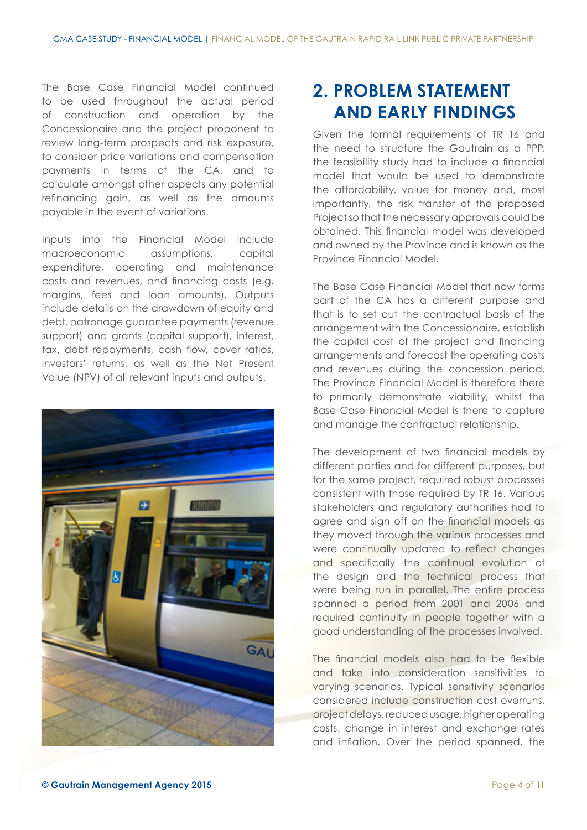The Base Case Financial Model continued to be used throughout the actual period of construction and operation by the Concessionaire and the project proponent to review long-term prospects and risk exposure, to consider price variations and compensation payments in terms of the CA, and to calculate amongst other aspects any potential refinancing gain, as well as the amounts payable in the event of variations.

Inputs into the Financial Model include macroeconomic assumptions, capital expenditure, operating and maintenance costs and revenues, and financing costs (e.g. margins, fees and loan amounts). Outputs include details on the drawdown of equity and debt, patronage guarantee payments (revenue support) and grants (capital support), interest, tax, debt repayments, cash flow, cover ratios, investors' returns, as well as the Net Present Value (NPV) of all relevant inputs and outputs.



# **2. PROBLEM STATEMENT AND EARLY FINDINGS**

Given the formal requirements of TR 16 and the need to structure the Gautrain as a PPP, the feasibility study had to include a financial model that would be used to demonstrate the affordability, value for money and, most importantly, the risk transfer of the proposed Project so that the necessary approvals could be obtained. This financial model was developed and owned by the Province and is known as the Province Financial Model.

The Base Case Financial Model that now forms part of the CA has a different purpose and that is to set out the contractual basis of the arrangement with the Concessionaire, establish the capital cost of the project and financing arrangements and forecast the operating costs and revenues during the concession period. The Province Financial Model is therefore there to primarily demonstrate viability, whilst the Base Case Financial Model is there to capture and manage the contractual relationship.

The development of two financial models by different parties and for different purposes, but for the same project, required robust processes consistent with those required by TR 16. Various stakeholders and regulatory authorities had to agree and sign off on the financial models as they moved through the various processes and were continually updated to reflect changes and specifically the continual evolution of the design and the technical process that were being run in parallel. The entire process spanned a period from 2001 and 2006 and required continuity in people together with a good understanding of the processes involved.

The financial models also had to be flexible and take into consideration sensitivities to varying scenarios. Typical sensitivity scenarios considered include construction cost overruns, project delays, reduced usage, higher operating costs, change in interest and exchange rates and inflation. Over the period spanned, the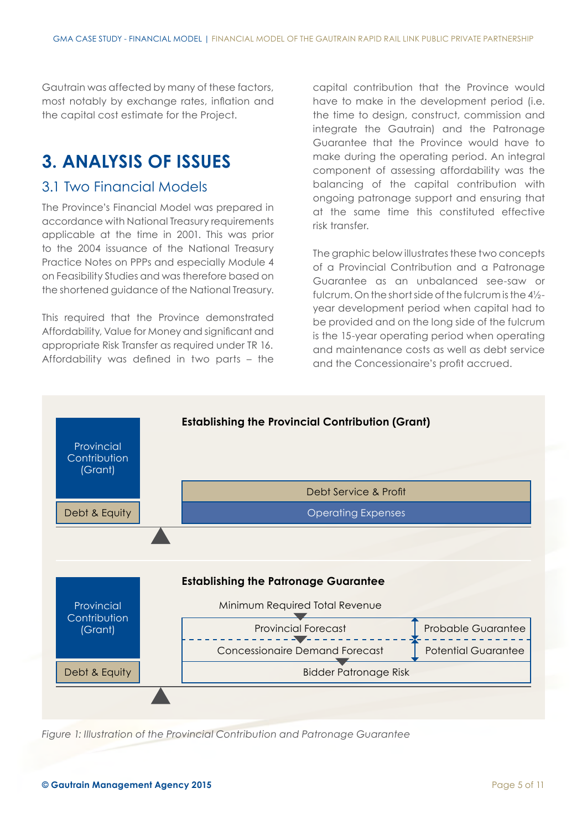Gautrain was affected by many of these factors, most notably by exchange rates, inflation and the capital cost estimate for the Project.

# **3. ANALYSIS OF ISSUES**

#### 3.1 Two Financial Models

The Province's Financial Model was prepared in accordance with National Treasury requirements applicable at the time in 2001. This was prior to the 2004 issuance of the National Treasury Practice Notes on PPPs and especially Module 4 on Feasibility Studies and was therefore based on the shortened guidance of the National Treasury.

This required that the Province demonstrated Affordability, Value for Money and significant and appropriate Risk Transfer as required under TR 16. Affordability was defined in two parts – the

capital contribution that the Province would have to make in the development period (i.e. the time to design, construct, commission and integrate the Gautrain) and the Patronage Guarantee that the Province would have to make during the operating period. An integral component of assessing affordability was the balancing of the capital contribution with ongoing patronage support and ensuring that at the same time this constituted effective risk transfer.

The graphic below illustrates these two concepts of a Provincial Contribution and a Patronage Guarantee as an unbalanced see-saw or fulcrum. On the short side of the fulcrum is the 4½ year development period when capital had to be provided and on the long side of the fulcrum is the 15-year operating period when operating and maintenance costs as well as debt service and the Concessionaire's profit accrued.



*Figure 1: Illustration of the Provincial Contribution and Patronage Guarantee*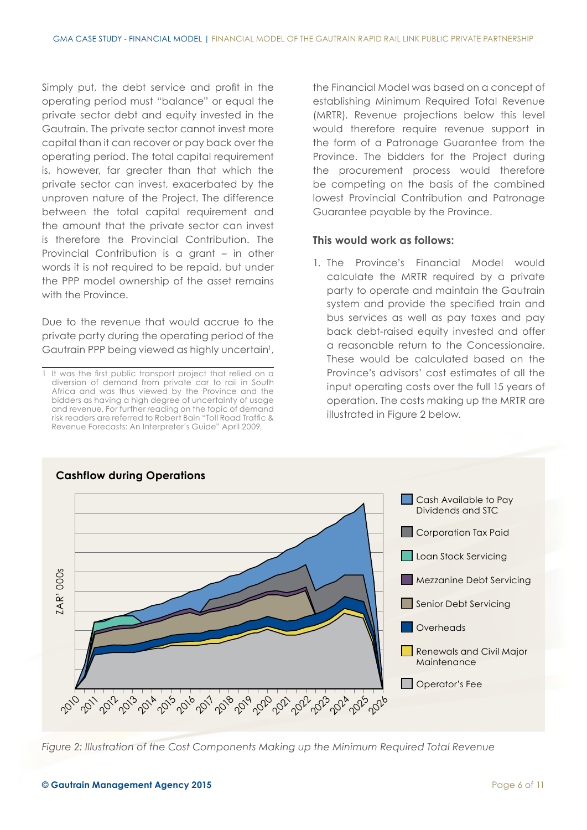Simply put, the debt service and profit in the operating period must "balance" or equal the private sector debt and equity invested in the Gautrain. The private sector cannot invest more capital than it can recover or pay back over the operating period. The total capital requirement is, however, far greater than that which the private sector can invest, exacerbated by the unproven nature of the Project. The difference between the total capital requirement and the amount that the private sector can invest is therefore the Provincial Contribution. The Provincial Contribution is a grant – in other words it is not required to be repaid, but under the PPP model ownership of the asset remains with the Province.

Due to the revenue that would accrue to the private party during the operating period of the Gautrain PPP being viewed as highly uncertain<sup>1</sup>, the Financial Model was based on a concept of establishing Minimum Required Total Revenue (MRTR). Revenue projections below this level would therefore require revenue support in the form of a Patronage Guarantee from the Province. The bidders for the Project during the procurement process would therefore be competing on the basis of the combined lowest Provincial Contribution and Patronage Guarantee payable by the Province.

#### **This would work as follows:**

1. The Province's Financial Model would calculate the MRTR required by a private party to operate and maintain the Gautrain system and provide the specified train and bus services as well as pay taxes and pay back debt-raised equity invested and offer a reasonable return to the Concessionaire. These would be calculated based on the Province's advisors' cost estimates of all the input operating costs over the full 15 years of operation. The costs making up the MRTR are illustrated in Figure 2 below.



**Cashflow during Operations**

*Figure 2: Illustration of the Cost Components Making up the Minimum Required Total Revenue*

<sup>1</sup> It was the first public transport project that relied on a diversion of demand from private car to rail in South Africa and was thus viewed by the Province and the bidders as having a high degree of uncertainty of usage and revenue. For further reading on the topic of demand risk readers are referred to Robert Bain "Toll Road Traffic & Revenue Forecasts: An Interpreter's Guide" April 2009.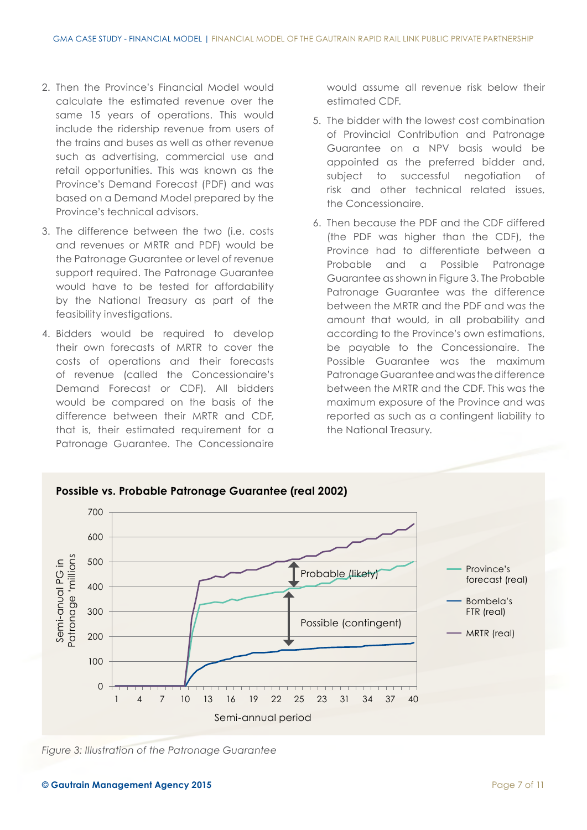- 2. Then the Province's Financial Model would calculate the estimated revenue over the same 15 years of operations. This would include the ridership revenue from users of the trains and buses as well as other revenue such as advertising, commercial use and retail opportunities. This was known as the Province's Demand Forecast (PDF) and was based on a Demand Model prepared by the Province's technical advisors.
- 3. The difference between the two (i.e. costs and revenues or MRTR and PDF) would be the Patronage Guarantee or level of revenue support required. The Patronage Guarantee would have to be tested for affordability by the National Treasury as part of the feasibility investigations.
- 4. Bidders would be required to develop their own forecasts of MRTR to cover the costs of operations and their forecasts of revenue (called the Concessionaire's Demand Forecast or CDF). All bidders would be compared on the basis of the difference between their MRTR and CDF, that is, their estimated requirement for a Patronage Guarantee. The Concessionaire

would assume all revenue risk below their estimated CDF.

- 5. The bidder with the lowest cost combination of Provincial Contribution and Patronage Guarantee on a NPV basis would be appointed as the preferred bidder and, subject to successful negotiation of risk and other technical related issues, the Concessionaire.
- 6. Then because the PDF and the CDF differed (the PDF was higher than the CDF), the Province had to differentiate between a Probable and a Possible Patronage Guarantee as shown in Figure 3. The Probable Patronage Guarantee was the difference between the MRTR and the PDF and was the amount that would, in all probability and according to the Province's own estimations, be payable to the Concessionaire. The Possible Guarantee was the maximum Patronage Guarantee and was the difference between the MRTR and the CDF. This was the maximum exposure of the Province and was reported as such as a contingent liability to the National Treasury.



*Figure 3: Illustration of the Patronage Guarantee*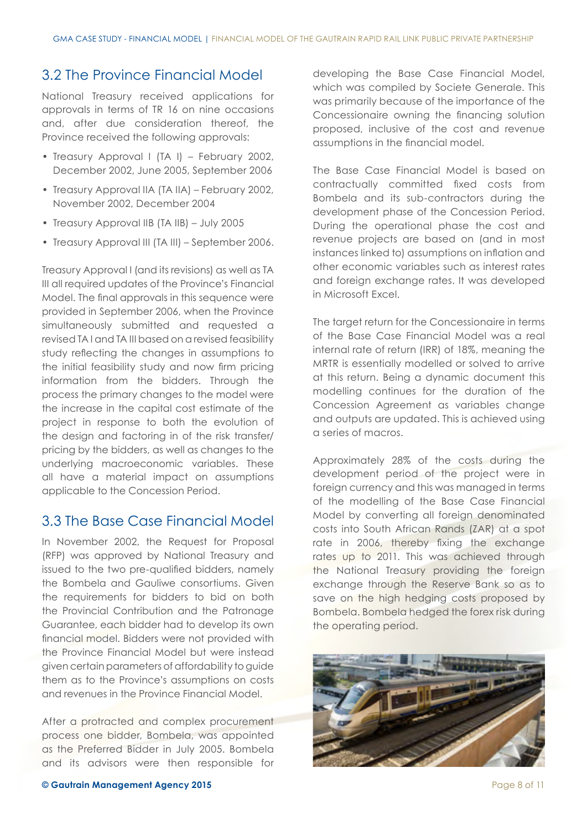#### 3.2 The Province Financial Model

National Treasury received applications for approvals in terms of TR 16 on nine occasions and, after due consideration thereof, the Province received the following approvals:

- Treasury Approval I (TA I) February 2002, December 2002, June 2005, September 2006
- Treasury Approval IIA (TA IIA) February 2002, November 2002, December 2004
- Treasury Approval IIB (TA IIB) July 2005
- Treasury Approval III (TA III) September 2006.

Treasury Approval I (and its revisions) as well as TA III all required updates of the Province's Financial Model. The final approvals in this sequence were provided in September 2006, when the Province simultaneously submitted and requested a revised TA I and TA III based on a revised feasibility study reflecting the changes in assumptions to the initial feasibility study and now firm pricing information from the bidders. Through the process the primary changes to the model were the increase in the capital cost estimate of the project in response to both the evolution of the design and factoring in of the risk transfer/ pricing by the bidders, as well as changes to the underlying macroeconomic variables. These all have a material impact on assumptions applicable to the Concession Period.

#### 3.3 The Base Case Financial Model

In November 2002, the Request for Proposal (RFP) was approved by National Treasury and issued to the two pre-qualified bidders, namely the Bombela and Gauliwe consortiums. Given the requirements for bidders to bid on both the Provincial Contribution and the Patronage Guarantee, each bidder had to develop its own financial model. Bidders were not provided with the Province Financial Model but were instead given certain parameters of affordability to guide them as to the Province's assumptions on costs and revenues in the Province Financial Model.

After a protracted and complex procurement process one bidder, Bombela, was appointed as the Preferred Bidder in July 2005. Bombela and its advisors were then responsible for developing the Base Case Financial Model, which was compiled by Societe Generale. This was primarily because of the importance of the Concessionaire owning the financing solution proposed, inclusive of the cost and revenue assumptions in the financial model.

The Base Case Financial Model is based on contractually committed fixed costs from Bombela and its sub-contractors during the development phase of the Concession Period. During the operational phase the cost and revenue projects are based on (and in most instances linked to) assumptions on inflation and other economic variables such as interest rates and foreign exchange rates. It was developed in Microsoft Excel.

The target return for the Concessionaire in terms of the Base Case Financial Model was a real internal rate of return (IRR) of 18%, meaning the MRTR is essentially modelled or solved to arrive at this return. Being a dynamic document this modelling continues for the duration of the Concession Agreement as variables change and outputs are updated. This is achieved using a series of macros.

Approximately 28% of the costs during the development period of the project were in foreign currency and this was managed in terms of the modelling of the Base Case Financial Model by converting all foreign denominated costs into South African Rands (ZAR) at a spot rate in 2006, thereby fixing the exchange rates up to 2011. This was achieved through the National Treasury providing the foreign exchange through the Reserve Bank so as to save on the high hedging costs proposed by Bombela. Bombela hedged the forex risk during the operating period.

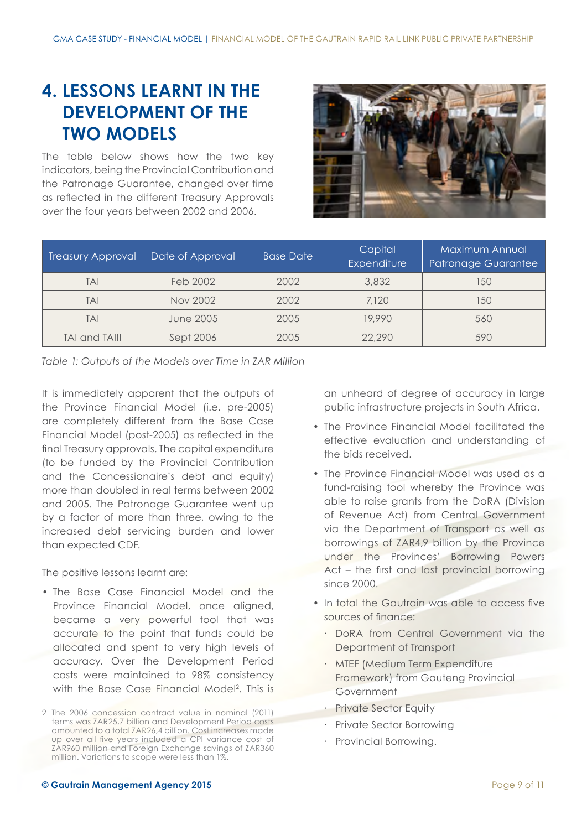# **4. LESSONS LEARNT IN THE DEVELOPMENT OF THE TWO MODELS**

The table below shows how the two key indicators, being the Provincial Contribution and the Patronage Guarantee, changed over time as reflected in the different Treasury Approvals over the four years between 2002 and 2006.



| <b>Treasury Approval</b> | Date of Approval | <b>Base Date</b> | Capital<br>Expenditure | Maximum Annual<br>Patronage Guarantee |
|--------------------------|------------------|------------------|------------------------|---------------------------------------|
| TAI                      | Feb 2002         | 2002             | 3,832                  | 150                                   |
| TAI                      | Nov 2002         | 2002             | 7.120                  | 150                                   |
| TAI                      | June 2005        | 2005             | 19,990                 | 560                                   |
| <b>TAI and TAIII</b>     | Sept 2006        | 2005             | 22,290                 | 590                                   |

*Table 1: Outputs of the Models over Time in ZAR Million*

It is immediately apparent that the outputs of the Province Financial Model (i.e. pre-2005) are completely different from the Base Case Financial Model (post-2005) as reflected in the final Treasury approvals. The capital expenditure (to be funded by the Provincial Contribution and the Concessionaire's debt and equity) more than doubled in real terms between 2002 and 2005. The Patronage Guarantee went up by a factor of more than three, owing to the increased debt servicing burden and lower than expected CDF.

The positive lessons learnt are:

• The Base Case Financial Model and the Province Financial Model, once aligned, became a very powerful tool that was accurate to the point that funds could be allocated and spent to very high levels of accuracy. Over the Development Period costs were maintained to 98% consistency with the Base Case Financial Model<sup>2</sup>. This is an unheard of degree of accuracy in large public infrastructure projects in South Africa.

- The Province Financial Model facilitated the effective evaluation and understanding of the bids received.
- The Province Financial Model was used as a fund-raising tool whereby the Province was able to raise grants from the DoRA (Division of Revenue Act) from Central Government via the Department of Transport as well as borrowings of ZAR4,9 billion by the Province under the Provinces' Borrowing Powers Act – the first and last provincial borrowing since 2000.
- In total the Gautrain was able to access five sources of finance:
	- ∙ DoRA from Central Government via the Department of Transport
	- ∙ MTEF (Medium Term Expenditure Framework) from Gauteng Provincial Government
	- ∙ Private Sector Equity
	- ∙ Private Sector Borrowing
	- ∙ Provincial Borrowing.

<sup>2</sup> The 2006 concession contract value in nominal (2011) terms was ZAR25,7 billion and Development Period costs amounted to a total ZAR26,4 billion. Cost increases made up over all five years included a CPI variance cost of ZAR960 million and Foreign Exchange savings of ZAR360 million. Variations to scope were less than 1%.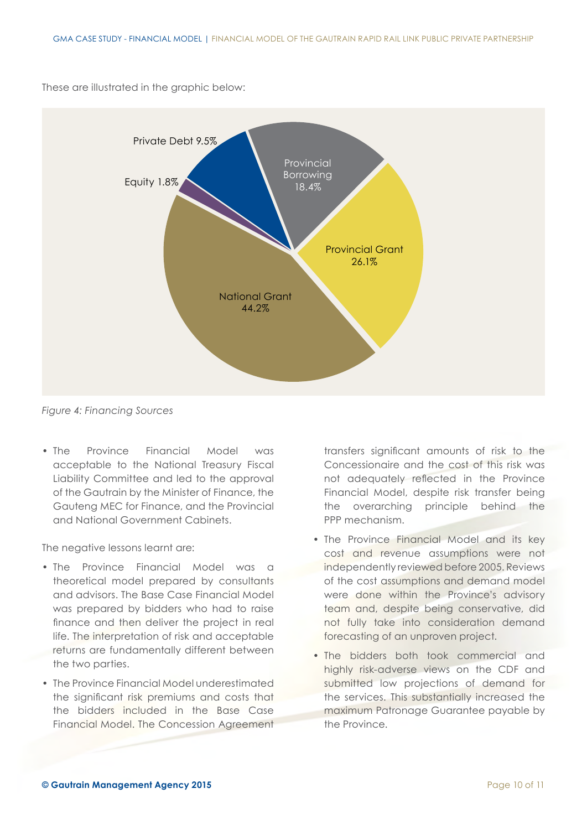These are illustrated in the graphic below:



*Figure 4: Financing Sources*

• The Province Financial Model was acceptable to the National Treasury Fiscal Liability Committee and led to the approval of the Gautrain by the Minister of Finance, the Gauteng MEC for Finance, and the Provincial and National Government Cabinets.

The negative lessons learnt are:

- The Province Financial Model was a theoretical model prepared by consultants and advisors. The Base Case Financial Model was prepared by bidders who had to raise finance and then deliver the project in real life. The interpretation of risk and acceptable returns are fundamentally different between the two parties.
- The Province Financial Model underestimated the significant risk premiums and costs that the bidders included in the Base Case Financial Model. The Concession Agreement

transfers significant amounts of risk to the Concessionaire and the cost of this risk was not adequately reflected in the Province Financial Model, despite risk transfer being the overarching principle behind the PPP mechanism.

- The Province Financial Model and its key cost and revenue assumptions were not independently reviewed before 2005. Reviews of the cost assumptions and demand model were done within the Province's advisory team and, despite being conservative, did not fully take into consideration demand forecasting of an unproven project.
- The bidders both took commercial and highly risk-adverse views on the CDF and submitted low projections of demand for the services. This substantially increased the maximum Patronage Guarantee payable by the Province.